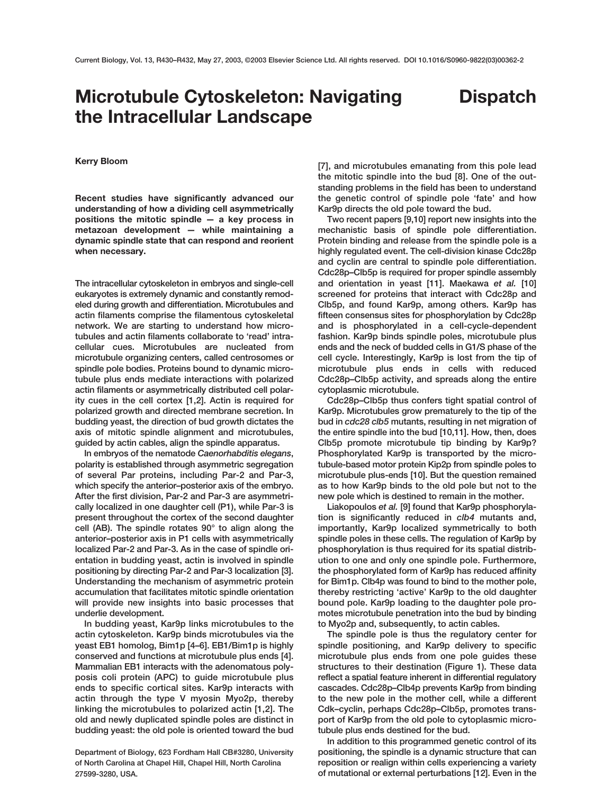## **Microtubule Cytoskeleton: Navigating the Intracellular Landscape**

## **Dispatch**

## **Kerry Bloom**

**Recent studies have significantly advanced our understanding of how a dividing cell asymmetrically positions the mitotic spindle — a key process in metazoan development — while maintaining a dynamic spindle state that can respond and reorient when necessary.**

**The intracellular cytoskeleton in embryos and single-cell eukaryotes is extremely dynamic and constantly remodeled during growth and differentiation. Microtubules and actin filaments comprise the filamentous cytoskeletal network. We are starting to understand how microtubules and actin filaments collaborate to 'read' intracellular cues. Microtubules are nucleated from microtubule organizing centers, called centrosomes or spindle pole bodies. Proteins bound to dynamic microtubule plus ends mediate interactions with polarized actin filaments or asymmetrically distributed cell polarity cues in the cell cortex [1,2]. Actin is required for polarized growth and directed membrane secretion. In budding yeast, the direction of bud growth dictates the axis of mitotic spindle alignment and microtubules, guided by actin cables, align the spindle apparatus.** 

**In embryos of the nematode** *Caenorhabditis elegans***, polarity is established through asymmetric segregation of several Par proteins, including Par-2 and Par-3, which specify the anterior–posterior axis of the embryo. After the first division, Par-2 and Par-3 are asymmetrically localized in one daughter cell (P1), while Par-3 is present throughout the cortex of the second daughter cell (AB). The spindle rotates 90° to align along the anterior–posterior axis in P1 cells with asymmetrically localized Par-2 and Par-3. As in the case of spindle orientation in budding yeast, actin is involved in spindle positioning by directing Par-2 and Par-3 localization [3]. Understanding the mechanism of asymmetric protein accumulation that facilitates mitotic spindle orientation will provide new insights into basic processes that underlie development.**

**In budding yeast, Kar9p links microtubules to the actin cytoskeleton. Kar9p binds microtubules via the yeast EB1 homolog, Bim1p [4–6]. EB1/Bim1p is highly conserved and functions at microtubule plus ends [4]. Mammalian EB1 interacts with the adenomatous polyposis coli protein (APC) to guide microtubule plus ends to specific cortical sites. Kar9p interacts with actin through the type V myosin Myo2p, thereby linking the microtubules to polarized actin [1,2]. The old and newly duplicated spindle poles are distinct in budding yeast: the old pole is oriented toward the bud**

**Department of Biology, 623 Fordham Hall CB#3280, University of North Carolina at Chapel Hill, Chapel Hill, North Carolina 27599-3280, USA.**

**[7], and microtubules emanating from this pole lead the mitotic spindle into the bud [8]. One of the outstanding problems in the field has been to understand the genetic control of spindle pole 'fate' and how Kar9p directs the old pole toward the bud.**

**Two recent papers [9,10] report new insights into the mechanistic basis of spindle pole differentiation. Protein binding and release from the spindle pole is a highly regulated event. The cell-division kinase Cdc28p and cyclin are central to spindle pole differentiation. Cdc28p–Clb5p is required for proper spindle assembly and orientation in yeast [11]. Maekawa** *et al.* **[10] screened for proteins that interact with Cdc28p and Clb5p, and found Kar9p, among others. Kar9p has fifteen consensus sites for phosphorylation by Cdc28p and is phosphorylated in a cell-cycle-dependent fashion. Kar9p binds spindle poles, microtubule plus ends and the neck of budded cells in G1/S phase of the cell cycle. Interestingly, Kar9p is lost from the tip of microtubule plus ends in cells with reduced Cdc28p–Clb5p activity, and spreads along the entire cytoplasmic microtubule.**

**Cdc28p–Clb5p thus confers tight spatial control of Kar9p. Microtubules grow prematurely to the tip of the bud in** *cdc28 clb5* **mutants, resulting in net migration of the entire spindle into the bud [10,11]. How, then, does Clb5p promote microtubule tip binding by Kar9p? Phosphorylated Kar9p is transported by the microtubule-based motor protein Kip2p from spindle poles to microtubule plus-ends [10]. But the question remained as to how Kar9p binds to the old pole but not to the new pole which is destined to remain in the mother.**

**Liakopoulos** *et al.* **[9] found that Kar9p phosphorylation is significantly reduced in** *clb4* **mutants and, importantly, Kar9p localized symmetrically to both spindle poles in these cells. The regulation of Kar9p by phosphorylation is thus required for its spatial distribution to one and only one spindle pole. Furthermore, the phosphorylated form of Kar9p has reduced affinity for Bim1p. Clb4p was found to bind to the mother pole, thereby restricting 'active' Kar9p to the old daughter bound pole. Kar9p loading to the daughter pole promotes microtubule penetration into the bud by binding to Myo2p and, subsequently, to actin cables.** 

**The spindle pole is thus the regulatory center for spindle positioning, and Kar9p delivery to specific microtubule plus ends from one pole guides these structures to their destination (Figure 1). These data reflect a spatial feature inherent in differential regulatory cascades. Cdc28p–Clb4p prevents Kar9p from binding to the new pole in the mother cell, while a different Cdk–cyclin, perhaps Cdc28p–Clb5p, promotes transport of Kar9p from the old pole to cytoplasmic microtubule plus ends destined for the bud.**

**In addition to this programmed genetic control of its positioning, the spindle is a dynamic structure that can reposition or realign within cells experiencing a variety of mutational or external perturbations [12]. Even in the**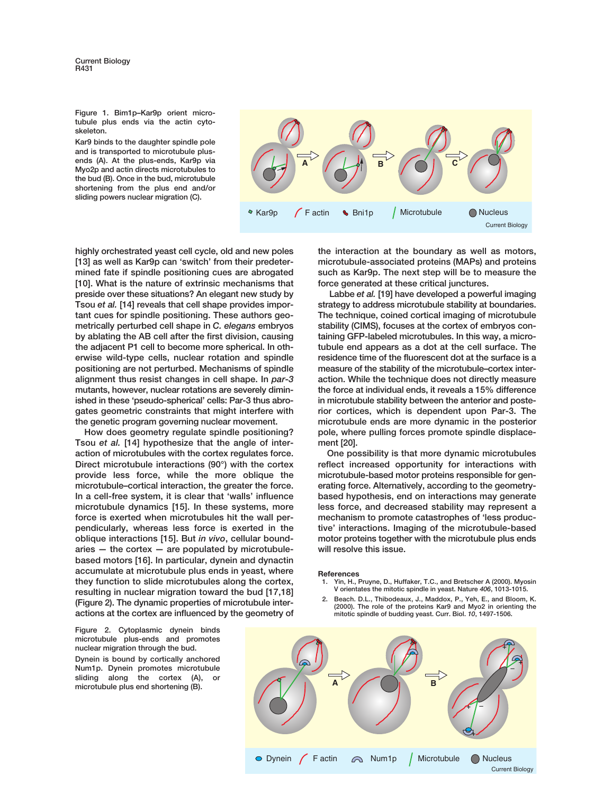**Figure 1. Bim1p–Kar9p orient microtubule plus ends via the actin cytoskeleton.** 

**Kar9 binds to the daughter spindle pole and is transported to microtubule plusends (A). At the plus-ends, Kar9p via Myo2p and actin directs microtubules to the bud (B). Once in the bud, microtubule shortening from the plus end and/or sliding powers nuclear migration (C).**



**highly orchestrated yeast cell cycle, old and new poles [13] as well as Kar9p can 'switch' from their predetermined fate if spindle positioning cues are abrogated [10]. What is the nature of extrinsic mechanisms that preside over these situations? An elegant new study by Tsou** *et al.* **[14] reveals that cell shape provides important cues for spindle positioning. These authors geometrically perturbed cell shape in** *C. elegans* **embryos by ablating the AB cell after the first division, causing the adjacent P1 cell to become more spherical. In otherwise wild-type cells, nuclear rotation and spindle positioning are not perturbed. Mechanisms of spindle alignment thus resist changes in cell shape. In** *par-3* **mutants, however, nuclear rotations are severely diminished in these 'pseudo-spherical' cells: Par-3 thus abrogates geometric constraints that might interfere with the genetic program governing nuclear movement.**

**How does geometry regulate spindle positioning? Tsou** *et al.* **[14] hypothesize that the angle of interaction of microtubules with the cortex regulates force. Direct microtubule interactions (90°) with the cortex provide less force, while the more oblique the microtubule–cortical interaction, the greater the force. In a cell-free system, it is clear that 'walls' influence microtubule dynamics [15]. In these systems, more force is exerted when microtubules hit the wall perpendicularly, whereas less force is exerted in the oblique interactions [15]. But** *in vivo***, cellular boundaries — the cortex — are populated by microtubulebased motors [16]. In particular, dynein and dynactin accumulate at microtubule plus ends in yeast, where they function to slide microtubules along the cortex, resulting in nuclear migration toward the bud [17,18] (Figure 2). The dynamic properties of microtubule interactions at the cortex are influenced by the geometry of**

**Figure 2. Cytoplasmic dynein binds microtubule plus-ends and promotes nuclear migration through the bud. Dynein is bound by cortically anchored Num1p. Dynein promotes microtubule sliding along the cortex (A), or microtubule plus end shortening (B).**

**the interaction at the boundary as well as motors, microtubule-associated proteins (MAPs) and proteins such as Kar9p. The next step will be to measure the force generated at these critical junctures.**

**Labbe** *et al.* **[19] have developed a powerful imaging strategy to address microtubule stability at boundaries. The technique, coined cortical imaging of microtubule stability (CIMS), focuses at the cortex of embryos containing GFP-labeled microtubules. In this way, a microtubule end appears as a dot at the cell surface. The residence time of the fluorescent dot at the surface is a measure of the stability of the microtubule–cortex interaction. While the technique does not directly measure the force at individual ends, it reveals a 15% difference in microtubule stability between the anterior and posterior cortices, which is dependent upon Par-3. The microtubule ends are more dynamic in the posterior pole, where pulling forces promote spindle displacement [20].** 

**One possibility is that more dynamic microtubules reflect increased opportunity for interactions with microtubule-based motor proteins responsible for generating force. Alternatively, according to the geometrybased hypothesis, end on interactions may generate less force, and decreased stability may represent a mechanism to promote catastrophes of 'less productive' interactions. Imaging of the microtubule-based motor proteins together with the microtubule plus ends will resolve this issue.** 

## **References**

- **1. Yin, H., Pruyne, D., Huffaker, T.C., and Bretscher A (2000). Myosin V orientates the mitotic spindle in yeast. Nature** *406***, 1013-1015.**
- **2. Beach. D.L., Thibodeaux, J., Maddox, P., Yeh, E., and Bloom, K. (2000). The role of the proteins Kar9 and Myo2 in orienting the mitotic spindle of budding yeast. Curr. Biol.** *10***, 1497-1506.**